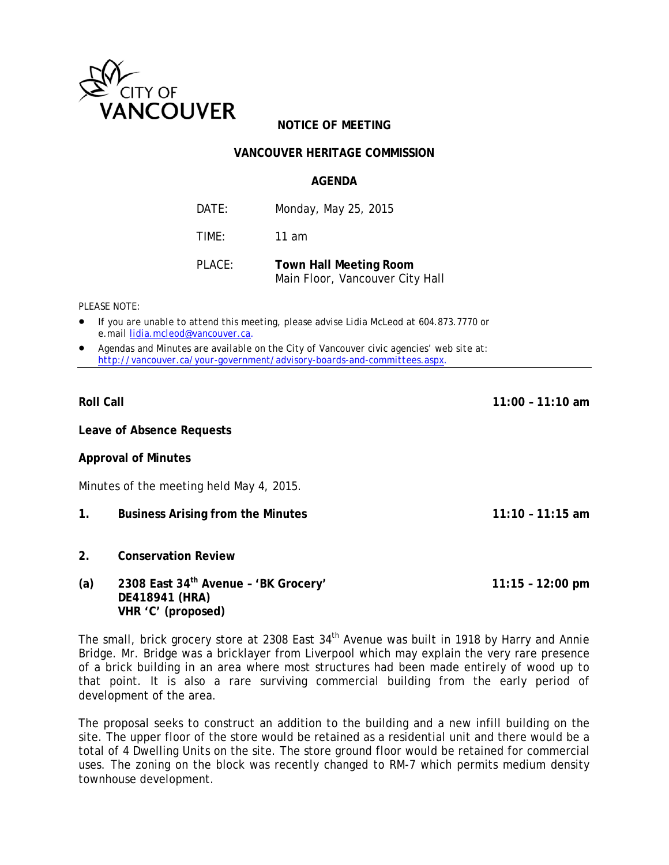

# **NOTICE OF MEETING**

## **VANCOUVER HERITAGE COMMISSION**

### **AGENDA**

| DATF:  | Monday, May 25, 2015          |
|--------|-------------------------------|
| TIMF:  | 11 am                         |
| PLACE: | <b>Town Hall Meeting Room</b> |

Main Floor, Vancouver City Hall

*PLEASE NOTE:* 

- *If you are unable to attend this meeting, please advise Lidia McLeod at 604.873.7770 or e.mail lidia.mcleod@vancouver.ca*.
- *Agendas and Minutes are available on the City of Vancouver civic agencies' web site at: http://vancouver.ca/your-government/advisory-boards-and-committees.aspx*.

**Leave of Absence Requests** 

### **Approval of Minutes**

Minutes of the meeting held May 4, 2015.

- **1. Business Arising from the Minutes 11:10 11:15 am**
- **2. Conservation Review**

## **(a) 2308 East 34th Avenue – 'BK Grocery' 11:15 – 12:00 pm DE418941 (HRA) VHR 'C' (proposed)**

The small, brick grocery store at 2308 East 34<sup>th</sup> Avenue was built in 1918 by Harry and Annie Bridge. Mr. Bridge was a bricklayer from Liverpool which may explain the very rare presence of a brick building in an area where most structures had been made entirely of wood up to that point. It is also a rare surviving commercial building from the early period of development of the area.

The proposal seeks to construct an addition to the building and a new infill building on the site. The upper floor of the store would be retained as a residential unit and there would be a total of 4 Dwelling Units on the site. The store ground floor would be retained for commercial uses. The zoning on the block was recently changed to RM-7 which permits medium density townhouse development.

**Roll Call 11:00 – 11:10 am**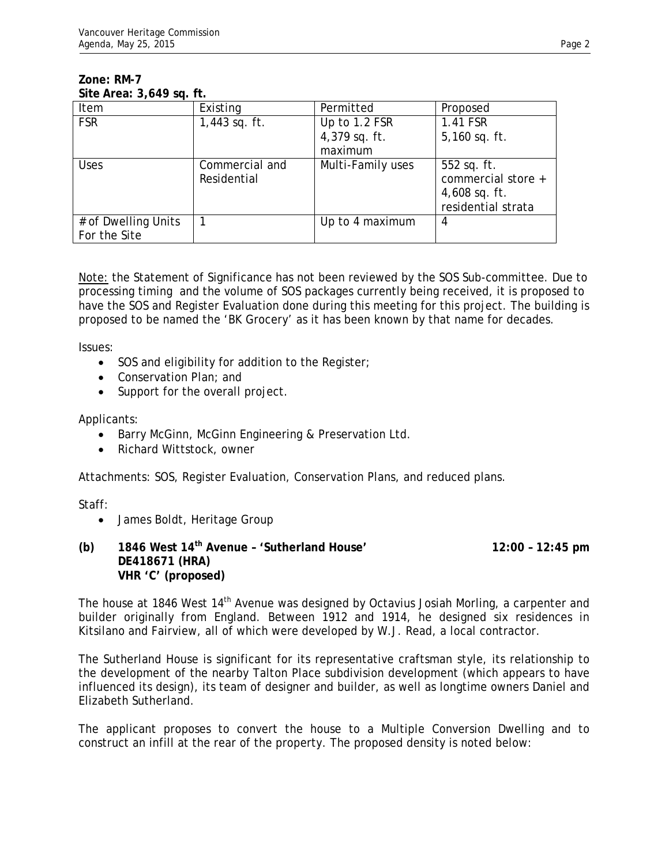### **Zone: RM-7 Site Area: 3,649 sq. ft.**

| Item                                | Existing                      | Permitted                                 | Proposed                                                                   |
|-------------------------------------|-------------------------------|-------------------------------------------|----------------------------------------------------------------------------|
| <b>FSR</b>                          | $1,443$ sq. ft.               | Up to 1.2 FSR<br>4,379 sq. ft.<br>maximum | 1.41 FSR<br>5,160 sq. ft.                                                  |
| <b>Uses</b>                         | Commercial and<br>Residential | Multi-Family uses                         | 552 sq. ft.<br>commercial store +<br>$4,608$ sq. ft.<br>residential strata |
| # of Dwelling Units<br>For the Site |                               | Up to 4 maximum                           | 4                                                                          |

Note: the Statement of Significance has not been reviewed by the SOS Sub-committee. Due to processing timing and the volume of SOS packages currently being received, it is proposed to have the SOS and Register Evaluation done during this meeting for this project. The building is proposed to be named the 'BK Grocery' as it has been known by that name for decades.

Issues:

- SOS and eligibility for addition to the Register;
- Conservation Plan; and
- Support for the overall project.

Applicants:

- Barry McGinn, McGinn Engineering & Preservation Ltd.
- Richard Wittstock, owner

Attachments: SOS, Register Evaluation, Conservation Plans, and reduced plans.

Staff:

- James Boldt, Heritage Group
- **(b) 1846 West 14th Avenue 'Sutherland House' 12:00 12:45 pm DE418671 (HRA) VHR 'C' (proposed)**

The house at 1846 West 14<sup>th</sup> Avenue was designed by Octavius Josiah Morling, a carpenter and builder originally from England. Between 1912 and 1914, he designed six residences in Kitsilano and Fairview, all of which were developed by W.J. Read, a local contractor.

The Sutherland House is significant for its representative craftsman style, its relationship to the development of the nearby Talton Place subdivision development (which appears to have influenced its design), its team of designer and builder, as well as longtime owners Daniel and Elizabeth Sutherland.

The applicant proposes to convert the house to a Multiple Conversion Dwelling and to construct an infill at the rear of the property. The proposed density is noted below: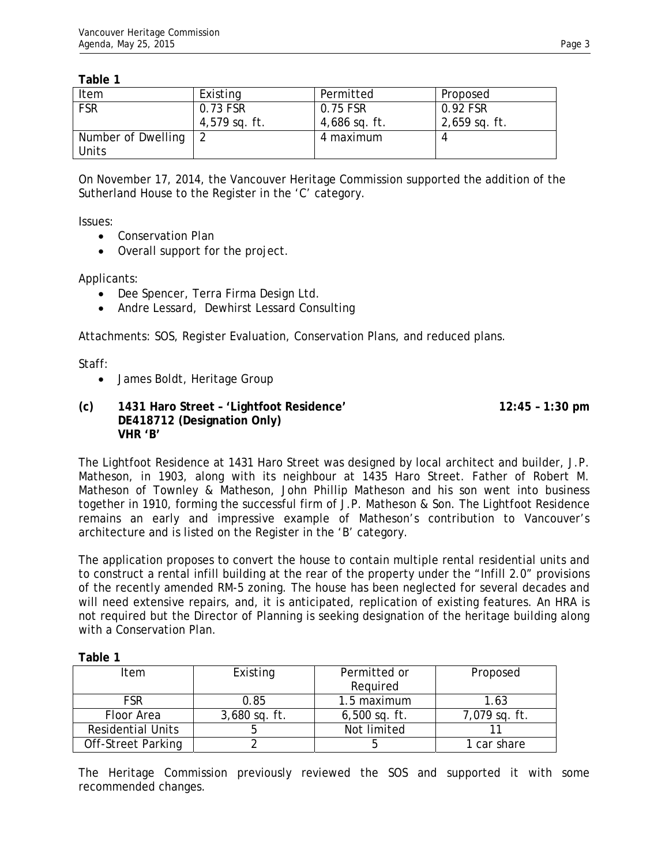**Table 1** 

| Item               | Existing        | Permitted     | Proposed        |
|--------------------|-----------------|---------------|-----------------|
| <b>FSR</b>         | 0.73 FSR        | 0.75 FSR      | 0.92 FSR        |
|                    | $4,579$ sq. ft. | 4,686 sq. ft. | $2,659$ sq. ft. |
| Number of Dwelling |                 | 4 maximum     |                 |
| Units              |                 |               |                 |

On November 17, 2014, the Vancouver Heritage Commission supported the addition of the Sutherland House to the Register in the 'C' category.

Issues:

- Conservation Plan
- Overall support for the project.

## Applicants:

- Dee Spencer, Terra Firma Design Ltd.
- Andre Lessard, Dewhirst Lessard Consulting

Attachments: SOS, Register Evaluation, Conservation Plans, and reduced plans.

Staff:

**Table 1** 

• James Boldt, Heritage Group

#### **(c) 1431 Haro Street – 'Lightfoot Residence' 12:45 – 1:30 pm DE418712 (Designation Only) VHR 'B'**

The Lightfoot Residence at 1431 Haro Street was designed by local architect and builder, J.P. Matheson, in 1903, along with its neighbour at 1435 Haro Street. Father of Robert M. Matheson of Townley & Matheson, John Phillip Matheson and his son went into business together in 1910, forming the successful firm of J.P. Matheson & Son. The Lightfoot Residence remains an early and impressive example of Matheson's contribution to Vancouver's architecture and is listed on the Register in the 'B' category.

The application proposes to convert the house to contain multiple rental residential units and to construct a rental infill building at the rear of the property under the "Infill 2.0" provisions of the recently amended RM-5 zoning. The house has been neglected for several decades and will need extensive repairs, and, it is anticipated, replication of existing features. An HRA is not required but the Director of Planning is seeking designation of the heritage building along with a Conservation Plan.

| .                         |                 |                          |               |
|---------------------------|-----------------|--------------------------|---------------|
| Item                      | Existing        | Permitted or<br>Reguired | Proposed      |
| <b>FSR</b>                | 0.85            | 1.5 maximum              | 1.63          |
| Floor Area                | $3,680$ sq. ft. | $6,500$ sq. ft.          | 7,079 sq. ft. |
| <b>Residential Units</b>  |                 | Not limited              |               |
| <b>Off-Street Parking</b> |                 |                          | l car share   |

The Heritage Commission previously reviewed the SOS and supported it with some recommended changes.